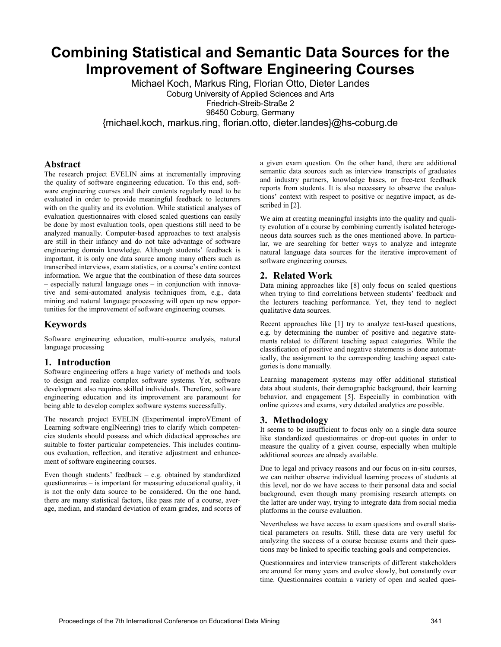# **Combining Statistical and Semantic Data Sources for the Improvement of Software Engineering Courses**

Michael Koch, Markus Ring, Florian Otto, Dieter Landes Coburg University of Applied Sciences and Arts Friedrich-Streib-Straße 2

96450 Coburg, Germany

{michael.koch, markus.ring, florian.otto, dieter.landes}@hs-coburg.de

## **Abstract**

The research project EVELIN aims at incrementally improving the quality of software engineering education. To this end, software engineering courses and their contents regularly need to be evaluated in order to provide meaningful feedback to lecturers with on the quality and its evolution. While statistical analyses of evaluation questionnaires with closed scaled questions can easily be done by most evaluation tools, open questions still need to be analyzed manually. Computer-based approaches to text analysis are still in their infancy and do not take advantage of software engineering domain knowledge. Although students' feedback is important, it is only one data source among many others such as transcribed interviews, exam statistics, or a course's entire context information. We argue that the combination of these data sources – especially natural language ones – in conjunction with innovative and semi-automated analysis techniques from, e.g., data mining and natural language processing will open up new opportunities for the improvement of software engineering courses.

# **Keywords**

Software engineering education, multi-source analysis, natural language processing

#### **1. Introduction**

Software engineering offers a huge variety of methods and tools to design and realize complex software systems. Yet, software development also requires skilled individuals. Therefore, software engineering education and its improvement are paramount for being able to develop complex software systems successfully.

The research project EVELIN (Experimental improVEment of Learning software engINeering) tries to clarify which competencies students should possess and which didactical approaches are suitable to foster particular competencies. This includes continuous evaluation, reflection, and iterative adjustment and enhancement of software engineering courses.

Even though students' feedback – e.g. obtained by standardized questionnaires – is important for measuring educational quality, it is not the only data source to be considered. On the one hand, there are many statistical factors, like pass rate of a course, average, median, and standard deviation of exam grades, and scores of

a given exam question. On the other hand, there are additional semantic data sources such as interview transcripts of graduates and industry partners, knowledge bases, or free-text feedback reports from students. It is also necessary to observe the evaluations' context with respect to positive or negative impact, as described i[n \[2\].](#page-1-0)

We aim at creating meaningful insights into the quality and quality evolution of a course by combining currently isolated heterogeneous data sources such as the ones mentioned above. In particular, we are searching for better ways to analyze and integrate natural language data sources for the iterative improvement of software engineering courses.

## **2. Related Work**

Data mining approaches like [\[8\]](#page-1-1) only focus on scaled questions when trying to find correlations between students' feedback and the lecturers teaching performance. Yet, they tend to neglect qualitative data sources.

Recent approaches like [\[1\]](#page-1-2) try to analyze text-based questions, e.g. by determining the number of positive and negative statements related to different teaching aspect categories. While the classification of positive and negative statements is done automatically, the assignment to the corresponding teaching aspect categories is done manually.

Learning management systems may offer additional statistical data about students, their demographic background, their learning behavior, and engagement [\[5\].](#page-1-3) Especially in combination with online quizzes and exams, very detailed analytics are possible.

#### **3. Methodology**

It seems to be insufficient to focus only on a single data source like standardized questionnaires or drop-out quotes in order to measure the quality of a given course, especially when multiple additional sources are already available.

Due to legal and privacy reasons and our focus on in-situ courses, we can neither observe individual learning process of students at this level, nor do we have access to their personal data and social background, even though many promising research attempts on the latter are under way, trying to integrate data from social media platforms in the course evaluation.

Nevertheless we have access to exam questions and overall statistical parameters on results. Still, these data are very useful for analyzing the success of a course because exams and their questions may be linked to specific teaching goals and competencies.

Questionnaires and interview transcripts of different stakeholders are around for many years and evolve slowly, but constantly over time. Questionnaires contain a variety of open and scaled ques